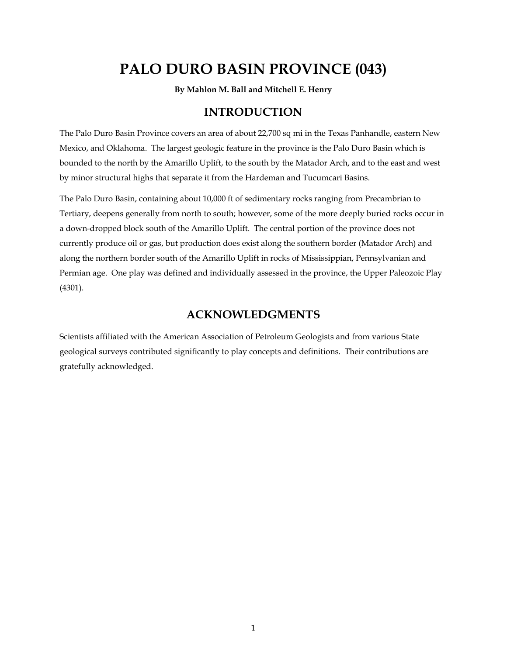# **PALO DURO BASIN PROVINCE (043)**

**By Mahlon M. Ball and Mitchell E. Henry** 

## **INTRODUCTION**

The Palo Duro Basin Province covers an area of about 22,700 sq mi in the Texas Panhandle, eastern New Mexico, and Oklahoma. The largest geologic feature in the province is the Palo Duro Basin which is bounded to the north by the Amarillo Uplift, to the south by the Matador Arch, and to the east and west by minor structural highs that separate it from the Hardeman and Tucumcari Basins.

The Palo Duro Basin, containing about 10,000 ft of sedimentary rocks ranging from Precambrian to Tertiary, deepens generally from north to south; however, some of the more deeply buried rocks occur in a down-dropped block south of the Amarillo Uplift. The central portion of the province does not currently produce oil or gas, but production does exist along the southern border (Matador Arch) and along the northern border south of the Amarillo Uplift in rocks of Mississippian, Pennsylvanian and Permian age. One play was defined and individually assessed in the province, the Upper Paleozoic Play (4301).

### **ACKNOWLEDGMENTS**

Scientists affiliated with the American Association of Petroleum Geologists and from various State geological surveys contributed significantly to play concepts and definitions. Their contributions are gratefully acknowledged.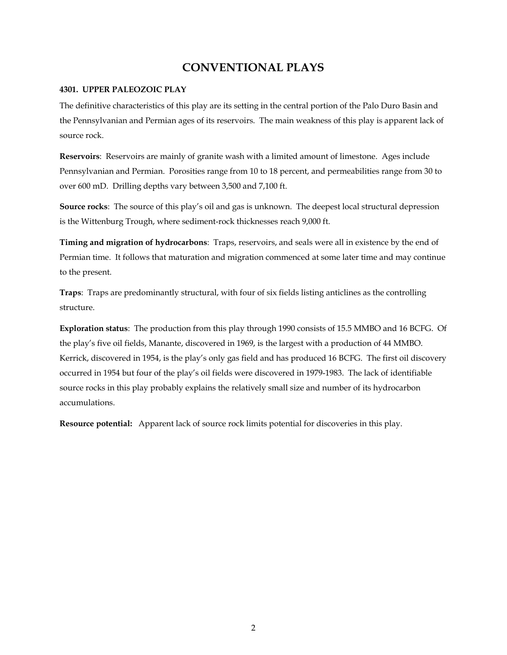# **CONVENTIONAL PLAYS**

#### **4301. UPPER PALEOZOIC PLAY**

The definitive characteristics of this play are its setting in the central portion of the Palo Duro Basin and the Pennsylvanian and Permian ages of its reservoirs. The main weakness of this play is apparent lack of source rock.

**Reservoirs**: Reservoirs are mainly of granite wash with a limited amount of limestone. Ages include Pennsylvanian and Permian. Porosities range from 10 to 18 percent, and permeabilities range from 30 to over 600 mD. Drilling depths vary between 3,500 and 7,100 ft.

**Source rocks**: The source of this play's oil and gas is unknown. The deepest local structural depression is the Wittenburg Trough, where sediment-rock thicknesses reach 9,000 ft.

**Timing and migration of hydrocarbons**: Traps, reservoirs, and seals were all in existence by the end of Permian time. It follows that maturation and migration commenced at some later time and may continue to the present.

**Traps**: Traps are predominantly structural, with four of six fields listing anticlines as the controlling structure.

**Exploration status**: The production from this play through 1990 consists of 15.5 MMBO and 16 BCFG. Of the play's five oil fields, Manante, discovered in 1969, is the largest with a production of 44 MMBO. Kerrick, discovered in 1954, is the play's only gas field and has produced 16 BCFG. The first oil discovery occurred in 1954 but four of the play's oil fields were discovered in 1979-1983. The lack of identifiable source rocks in this play probably explains the relatively small size and number of its hydrocarbon accumulations.

**Resource potential:** Apparent lack of source rock limits potential for discoveries in this play.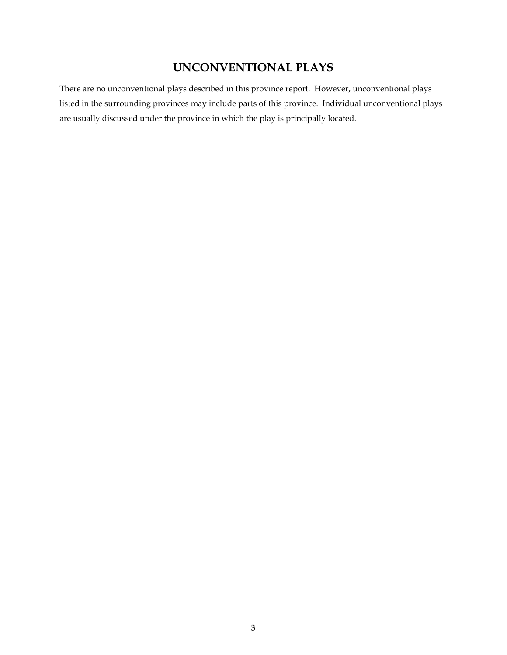# **UNCONVENTIONAL PLAYS**

There are no unconventional plays described in this province report. However, unconventional plays listed in the surrounding provinces may include parts of this province. Individual unconventional plays are usually discussed under the province in which the play is principally located.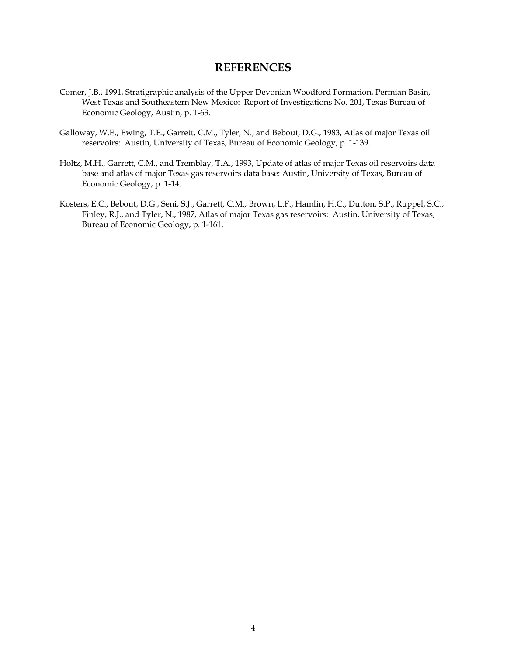#### **REFERENCES**

- Comer, J.B., 1991, Stratigraphic analysis of the Upper Devonian Woodford Formation, Permian Basin, West Texas and Southeastern New Mexico: Report of Investigations No. 201, Texas Bureau of Economic Geology, Austin, p. 1-63.
- Galloway, W.E., Ewing, T.E., Garrett, C.M., Tyler, N., and Bebout, D.G., 1983, Atlas of major Texas oil reservoirs: Austin, University of Texas, Bureau of Economic Geology, p. 1-139.
- Holtz, M.H., Garrett, C.M., and Tremblay, T.A., 1993, Update of atlas of major Texas oil reservoirs data base and atlas of major Texas gas reservoirs data base: Austin, University of Texas, Bureau of Economic Geology, p. 1-14.
- Kosters, E.C., Bebout, D.G., Seni, S.J., Garrett, C.M., Brown, L.F., Hamlin, H.C., Dutton, S.P., Ruppel, S.C., Finley, R.J., and Tyler, N., 1987, Atlas of major Texas gas reservoirs: Austin, University of Texas, Bureau of Economic Geology, p. 1-161.